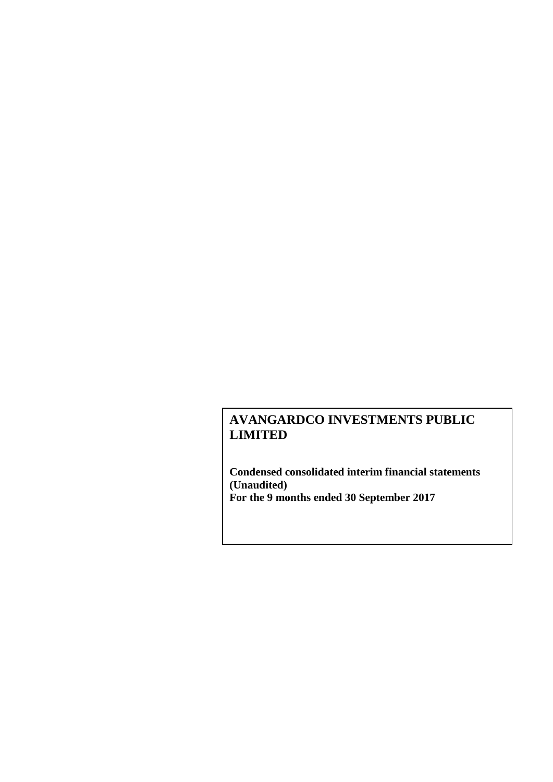**Condensed consolidated interim financial statements (Unaudited) For the 9 months ended 30 September 2017**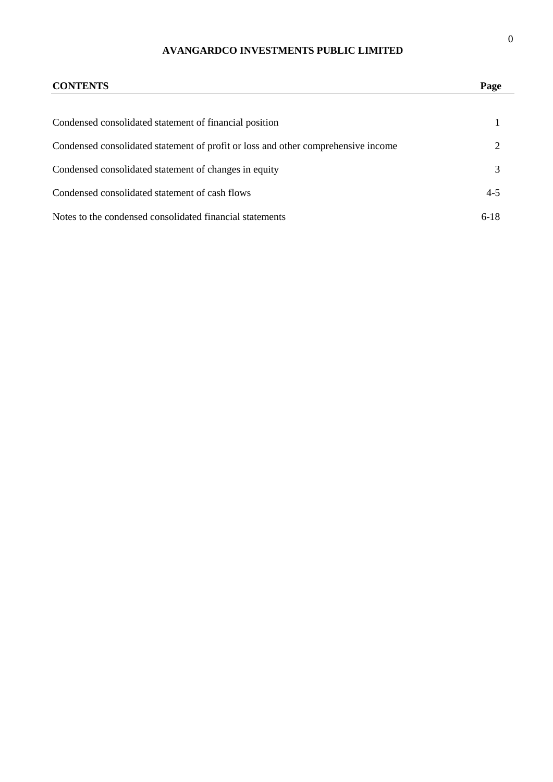| <b>CONTENTS</b>                                                                   | Page    |
|-----------------------------------------------------------------------------------|---------|
|                                                                                   |         |
| Condensed consolidated statement of financial position                            |         |
| Condensed consolidated statement of profit or loss and other comprehensive income | 2       |
| Condensed consolidated statement of changes in equity                             | 3       |
| Condensed consolidated statement of cash flows                                    | $4 - 5$ |
| Notes to the condensed consolidated financial statements                          | $6-18$  |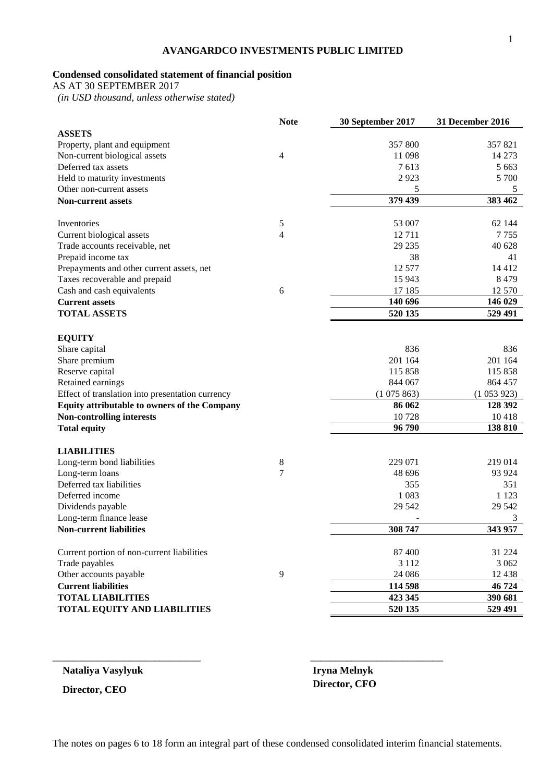## **Condensed consolidated statement of financial position**

AS AT 30 SEPTEMBER 2017

 *(in USD thousand, unless otherwise stated)*

|                                                                                  | <b>Note</b> | 30 September 2017    | <b>31 December 2016</b> |
|----------------------------------------------------------------------------------|-------------|----------------------|-------------------------|
| <b>ASSETS</b>                                                                    |             |                      |                         |
| Property, plant and equipment                                                    |             | 357 800              | 357 821                 |
| Non-current biological assets                                                    | 4           | 11 098               | 14 273                  |
| Deferred tax assets                                                              |             | 7613                 | 5 6 6 3                 |
| Held to maturity investments                                                     |             | 2923                 | 5 700                   |
| Other non-current assets                                                         |             | 5                    | 5                       |
| <b>Non-current assets</b>                                                        |             | 379 439              | 383 462                 |
| Inventories                                                                      | 5           | 53 007               | 62 144                  |
| Current biological assets                                                        | 4           | 12711                | 7755                    |
| Trade accounts receivable, net                                                   |             | 29 235               | 40 628                  |
| Prepaid income tax                                                               |             | 38                   | 41                      |
| Prepayments and other current assets, net                                        |             | 12 577               | 14 4 12                 |
| Taxes recoverable and prepaid                                                    |             | 15 9 43              | 8 4 7 9                 |
| Cash and cash equivalents                                                        | 6           | 17 185               | 12 570                  |
| <b>Current assets</b>                                                            |             | 140 696              | 146 029                 |
| <b>TOTAL ASSETS</b>                                                              |             | 520 135              | 529 491                 |
|                                                                                  |             |                      |                         |
| <b>EQUITY</b>                                                                    |             |                      |                         |
| Share capital                                                                    |             | 836                  | 836                     |
| Share premium                                                                    |             | 201 164              | 201 164                 |
| Reserve capital                                                                  |             | 115 858              | 115 858                 |
| Retained earnings                                                                |             | 844 067<br>(1075863) | 864 457<br>(1053923)    |
| Effect of translation into presentation currency                                 |             | 86 062               | 128 392                 |
| Equity attributable to owners of the Company<br><b>Non-controlling interests</b> |             | 10728                | 10418                   |
| <b>Total equity</b>                                                              |             | 96 790               | 138 810                 |
|                                                                                  |             |                      |                         |
| <b>LIABILITIES</b>                                                               |             |                      |                         |
| Long-term bond liabilities                                                       | 8           | 229 071              | 219 014                 |
| Long-term loans<br>Deferred tax liabilities                                      | 7           | 48 696               | 93 924                  |
|                                                                                  |             | 355<br>1 0 8 3       | 351<br>1 1 2 3          |
| Deferred income                                                                  |             | 29 5 42              | 29 542                  |
| Dividends payable<br>Long-term finance lease                                     |             |                      |                         |
|                                                                                  |             | 308 747              | 3<br>343 957            |
| <b>Non-current liabilities</b>                                                   |             |                      |                         |
| Current portion of non-current liabilities                                       |             | 87 400               | 31 224                  |
| Trade payables                                                                   |             | 3 1 1 2              | 3 0 6 2                 |
| Other accounts payable                                                           | 9           | 24 08 6              | 12 4 38                 |
| <b>Current liabilities</b>                                                       |             | 114 598              | 46 724                  |
| <b>TOTAL LIABILITIES</b>                                                         |             | 423 345              | 390 681                 |
| <b>TOTAL EQUITY AND LIABILITIES</b>                                              |             | 520 135              | 529 491                 |

**Nataliya Vasylyuk Iryna Melnyk**

**Director, CEO Director, CFO**

The notes on pages 6 to 18 form an integral part of these condensed consolidated interim financial statements.

\_\_\_\_\_\_\_\_\_\_\_\_\_\_\_\_\_\_\_\_\_\_\_\_\_\_\_\_\_ \_\_\_\_\_\_\_\_\_\_\_\_\_\_\_\_\_\_\_\_\_\_\_\_\_\_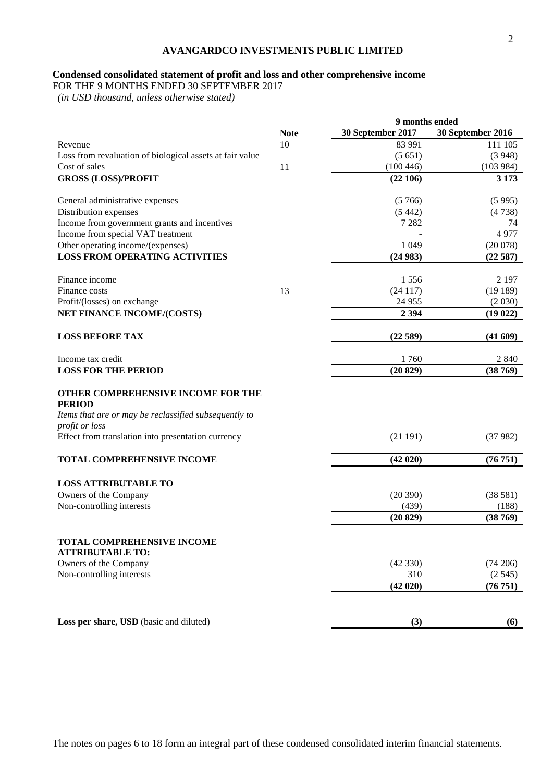## **Condensed consolidated statement of profit and loss and other comprehensive income**

FOR THE 9 MONTHS ENDED 30 SEPTEMBER 2017

 *(in USD thousand, unless otherwise stated)*

|                                                                                                                                                                                      | <b>Note</b><br>10 | 30 September 2017 | <b>30 September 2016</b> |
|--------------------------------------------------------------------------------------------------------------------------------------------------------------------------------------|-------------------|-------------------|--------------------------|
|                                                                                                                                                                                      |                   |                   |                          |
| Revenue                                                                                                                                                                              |                   | 83 991            | 111 105                  |
| Loss from revaluation of biological assets at fair value                                                                                                                             |                   | (5651)            | (3948)                   |
| Cost of sales                                                                                                                                                                        | 11                | (100446)          | (103984)                 |
| <b>GROSS (LOSS)/PROFIT</b>                                                                                                                                                           |                   | (22106)           | 3 1 7 3                  |
|                                                                                                                                                                                      |                   | (5766)            | (5995)                   |
| General administrative expenses                                                                                                                                                      |                   | (5442)            | (4738)                   |
| Distribution expenses                                                                                                                                                                |                   | 7 2 8 2           | 74                       |
| Income from government grants and incentives                                                                                                                                         |                   |                   |                          |
| Income from special VAT treatment                                                                                                                                                    |                   |                   | 4977                     |
| Other operating income/(expenses)                                                                                                                                                    |                   | 1 0 4 9           | (20078)                  |
| <b>LOSS FROM OPERATING ACTIVITIES</b>                                                                                                                                                |                   | (24983)           | (22587)                  |
| Finance income                                                                                                                                                                       |                   | 1556              | 2 1 9 7                  |
| Finance costs                                                                                                                                                                        | 13                | (24117)           | (19189)                  |
| Profit/(losses) on exchange                                                                                                                                                          |                   | 24 9 55           | (2030)                   |
| <b>NET FINANCE INCOME/(COSTS)</b>                                                                                                                                                    |                   | 2394              | (19022)                  |
| <b>LOSS BEFORE TAX</b>                                                                                                                                                               |                   | (22589)           | (41609)                  |
| Income tax credit                                                                                                                                                                    |                   | 1760              | 2 8 4 0                  |
| <b>LOSS FOR THE PERIOD</b>                                                                                                                                                           |                   | (20829)           | (38769)                  |
| OTHER COMPREHENSIVE INCOME FOR THE<br><b>PERIOD</b><br>Items that are or may be reclassified subsequently to<br>profit or loss<br>Effect from translation into presentation currency |                   | (21191)           | (37982)                  |
|                                                                                                                                                                                      |                   |                   |                          |
| <b>TOTAL COMPREHENSIVE INCOME</b>                                                                                                                                                    |                   | (42020)           | (76751)                  |
| <b>LOSS ATTRIBUTABLE TO</b>                                                                                                                                                          |                   |                   |                          |
| Owners of the Company                                                                                                                                                                |                   | (20390)           | (38581)                  |
| Non-controlling interests                                                                                                                                                            |                   | (439)             | (188)                    |
|                                                                                                                                                                                      |                   | (20829)           | (38769)                  |
|                                                                                                                                                                                      |                   |                   |                          |
| TOTAL COMPREHENSIVE INCOME<br><b>ATTRIBUTABLE TO:</b>                                                                                                                                |                   |                   |                          |
| Owners of the Company                                                                                                                                                                |                   | (42330)           | (74206)                  |
| Non-controlling interests                                                                                                                                                            |                   | 310               | (2545)                   |
|                                                                                                                                                                                      |                   | (42020)           | (76 751)                 |
|                                                                                                                                                                                      |                   |                   |                          |
| Loss per share, USD (basic and diluted)                                                                                                                                              |                   | (3)               | (6)                      |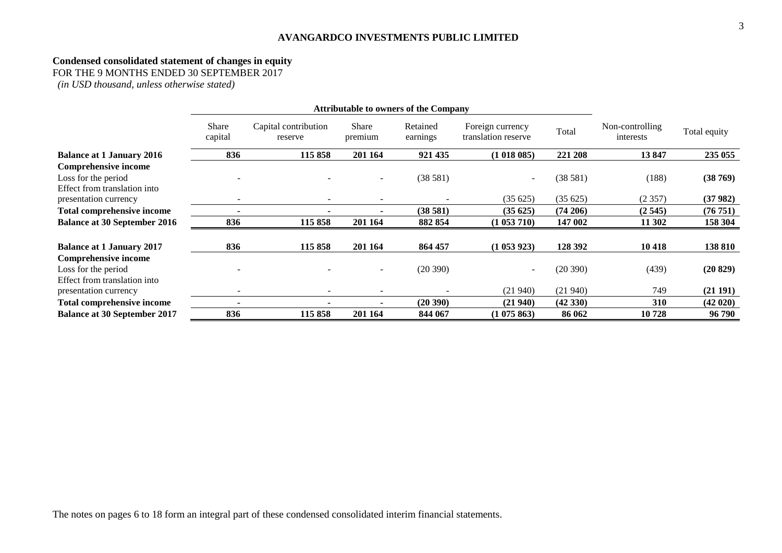#### **Condensed consolidated statement of changes in equity**

FOR THE 9 MONTHS ENDED 30 SEPTEMBER 2017

*(in USD thousand, unless otherwise stated)*

|                                                                                    | <b>Attributable to owners of the Company</b> |                                 |                  |                      |                                         |             |                              |              |
|------------------------------------------------------------------------------------|----------------------------------------------|---------------------------------|------------------|----------------------|-----------------------------------------|-------------|------------------------------|--------------|
|                                                                                    | Share<br>capital                             | Capital contribution<br>reserve | Share<br>premium | Retained<br>earnings | Foreign currency<br>translation reserve | Total       | Non-controlling<br>interests | Total equity |
| <b>Balance at 1 January 2016</b>                                                   | 836                                          | 115 858                         | 201 164          | 921 435              | (1018085)                               | 221 208     | 13847                        | 235 055      |
| Comprehensive income<br>Loss for the period<br>Effect from translation into        |                                              |                                 | $\sim$           | (38581)              | $\sim$                                  | (38581)     | (188)                        | (38769)      |
| presentation currency                                                              |                                              |                                 |                  |                      | (35625)                                 | (35625)     | (2357)                       | (37982)      |
| <b>Total comprehensive income</b>                                                  |                                              |                                 |                  | (38581)              | (35625)                                 | $(74\,206)$ | (2545)                       | (76 751)     |
| <b>Balance at 30 September 2016</b>                                                | 836                                          | 115 858                         | 201 164          | 882 854              | (1053710)                               | 147 002     | 11 302                       | 158 304      |
| <b>Balance at 1 January 2017</b>                                                   | 836                                          | 115 858                         | 201 164          | 864 457              | (1053923)                               | 128 392     | 10418                        | 138 810      |
| <b>Comprehensive income</b><br>Loss for the period<br>Effect from translation into |                                              |                                 | $\sim$           | (20390)              | $\sim$                                  | (20390)     | (439)                        | (20829)      |
| presentation currency                                                              |                                              |                                 |                  |                      | (21940)                                 | (21940)     | 749                          | (21191)      |
| Total comprehensive income                                                         |                                              |                                 |                  | (20390)              | (21940)                                 | (42330)     | 310                          | (42020)      |
| <b>Balance at 30 September 2017</b>                                                | 836                                          | 115 858                         | 201 164          | 844 067              | (1075863)                               | 86 062      | 10 728                       | 96 790       |

The notes on pages 6 to 18 form an integral part of these condensed consolidated interim financial statements.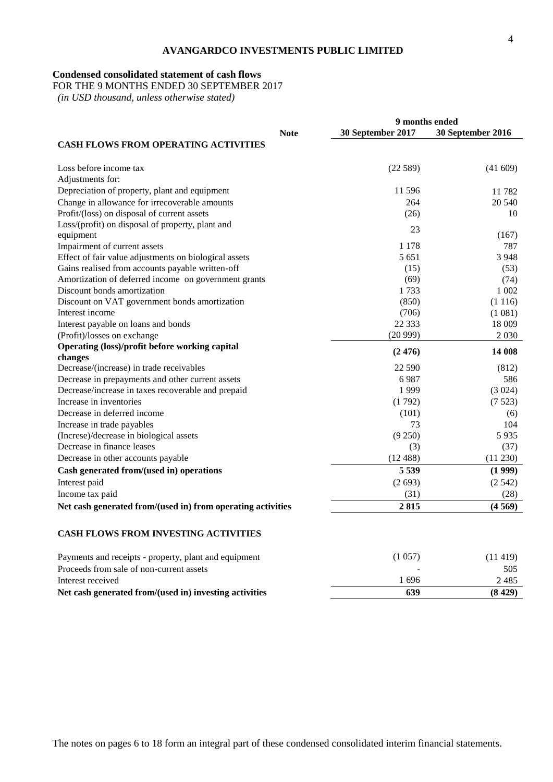## **Condensed consolidated statement of cash flows**

FOR THE 9 MONTHS ENDED 30 SEPTEMBER 2017

 *(in USD thousand, unless otherwise stated)*

|                                                             | 9 months ended           |                   |  |  |
|-------------------------------------------------------------|--------------------------|-------------------|--|--|
| <b>Note</b>                                                 | <b>30 September 2017</b> | 30 September 2016 |  |  |
| <b>CASH FLOWS FROM OPERATING ACTIVITIES</b>                 |                          |                   |  |  |
|                                                             |                          |                   |  |  |
| Loss before income tax                                      | (22589)                  | (41609)           |  |  |
| Adjustments for:                                            |                          |                   |  |  |
| Depreciation of property, plant and equipment               | 11 596                   | 11782             |  |  |
| Change in allowance for irrecoverable amounts               | 264                      | 20 540            |  |  |
| Profit/(loss) on disposal of current assets                 | (26)                     | 10                |  |  |
| Loss/(profit) on disposal of property, plant and            | 23                       |                   |  |  |
| equipment                                                   |                          | (167)             |  |  |
| Impairment of current assets                                | 1 1 7 8                  | 787               |  |  |
| Effect of fair value adjustments on biological assets       | 5 6 5 1                  | 3 9 4 8           |  |  |
| Gains realised from accounts payable written-off            | (15)                     | (53)              |  |  |
| Amortization of deferred income on government grants        | (69)                     | (74)              |  |  |
| Discount bonds amortization                                 | 1733                     | 1 0 0 2           |  |  |
| Discount on VAT government bonds amortization               | (850)                    | (1116)            |  |  |
| Interest income                                             | (706)                    | (1 081)           |  |  |
| Interest payable on loans and bonds                         | 22 3 33                  | 18 009            |  |  |
| (Profit)/losses on exchange                                 | (20999)                  | 2 0 3 0           |  |  |
| Operating (loss)/profit before working capital              | (2476)                   | 14 008            |  |  |
| changes                                                     |                          |                   |  |  |
| Decrease/(increase) in trade receivables                    | 22 590                   | (812)             |  |  |
| Decrease in prepayments and other current assets            | 6987                     | 586               |  |  |
| Decrease/increase in taxes recoverable and prepaid          | 1999                     | (3024)            |  |  |
| Increase in inventories                                     | (1792)                   | (7523)            |  |  |
| Decrease in deferred income                                 | (101)                    | (6)               |  |  |
| Increase in trade payables                                  | 73                       | 104               |  |  |
| (Increse)/decrease in biological assets                     | (9 250)                  | 5 9 3 5           |  |  |
| Decrease in finance leases                                  | (3)                      | (37)              |  |  |
| Decrease in other accounts payable                          | (12488)                  | (11 230)          |  |  |
| Cash generated from/(used in) operations                    | 5 5 3 9                  | (1999)            |  |  |
| Interest paid                                               | (2693)                   | (2542)            |  |  |
| Income tax paid                                             | (31)                     | (28)              |  |  |
| Net cash generated from/(used in) from operating activities | 2815                     | (4569)            |  |  |
|                                                             |                          |                   |  |  |
| <b>CASH FLOWS FROM INVESTING ACTIVITIES</b>                 |                          |                   |  |  |
| Payments and receipts - property, plant and equipment       | (1057)                   | (11419)           |  |  |
| D.                                                          |                          | $\sim$ $\sim$     |  |  |

| Proceeds from sale of non-current assets               | $\overline{\phantom{a}}$ | 505    |
|--------------------------------------------------------|--------------------------|--------|
| Interest received                                      | 696                      | 2 485  |
| Net cash generated from/(used in) investing activities | 639                      | (8429) |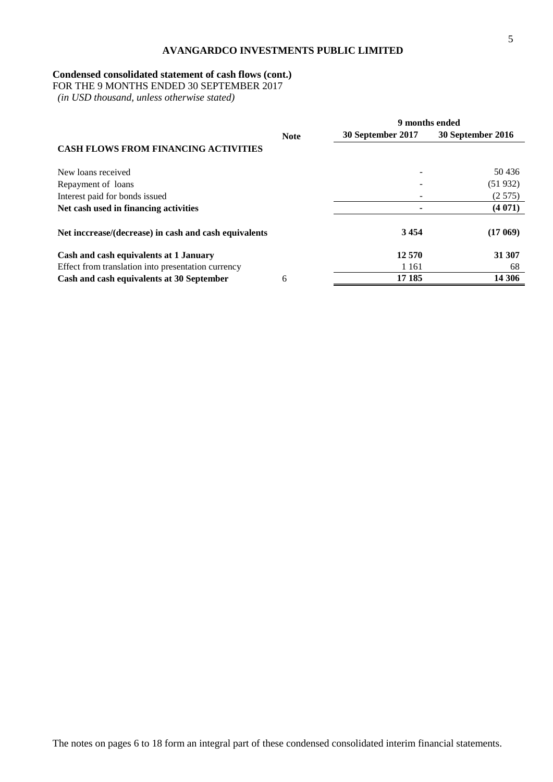## **Condensed consolidated statement of cash flows (cont.)**

FOR THE 9 MONTHS ENDED 30 SEPTEMBER 2017

 *(in USD thousand, unless otherwise stated)*

|                                                       |             | 9 months ended               |                   |
|-------------------------------------------------------|-------------|------------------------------|-------------------|
|                                                       | <b>Note</b> | 30 September 2017            | 30 September 2016 |
| <b>CASH FLOWS FROM FINANCING ACTIVITIES</b>           |             |                              |                   |
| New loans received                                    |             |                              | 50 436            |
| Repayment of loans                                    |             | $\qquad \qquad \blacksquare$ | (51932)           |
| Interest paid for bonds issued                        |             |                              | (2575)            |
| Net cash used in financing activities                 |             |                              | (4071)            |
| Net inccrease/(decrease) in cash and cash equivalents |             | 3454                         | (17069)           |
| Cash and cash equivalents at 1 January                |             | 12 570                       | 31 307            |
| Effect from translation into presentation currency    |             | 1 1 6 1                      | 68                |
| Cash and cash equivalents at 30 September             | 6           | 17 185                       | 14 306            |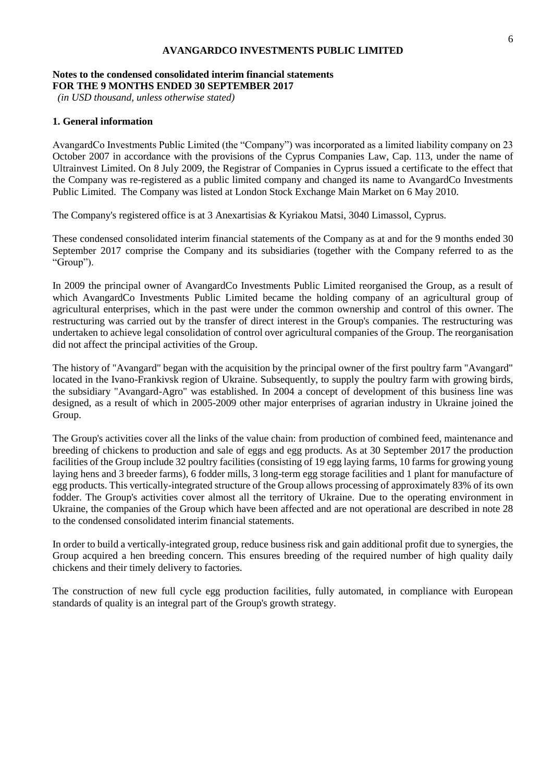## **Notes to the condensed consolidated interim financial statements FOR THE 9 MONTHS ENDED 30 SEPTEMBER 2017**

*(in USD thousand, unless otherwise stated)*

## **1. General information**

AvangardCo Investments Public Limited (the "Company") was incorporated as a limited liability company on 23 October 2007 in accordance with the provisions of the Cyprus Companies Law, Cap. 113, under the name of Ultrainvest Limited. On 8 July 2009, the Registrar of Companies in Cyprus issued a certificate to the effect that the Company was re-registered as a public limited company and changed its name to AvangardCo Investments Public Limited. The Company was listed at London Stock Exchange Main Market on 6 May 2010.

The Company's registered office is at 3 Anexartisias & Kyriakou Matsi, 3040 Limassol, Cyprus.

These condensed consolidated interim financial statements of the Company as at and for the 9 months ended 30 September 2017 comprise the Company and its subsidiaries (together with the Company referred to as the "Group").

In 2009 the principal owner of AvangardCo Investments Public Limited reorganised the Group, as a result of which AvangardCo Investments Public Limited became the holding company of an agricultural group of agricultural enterprises, which in the past were under the common ownership and control of this owner. The restructuring was carried out by the transfer of direct interest in the Group's companies. The restructuring was undertaken to achieve legal consolidation of control over agricultural companies of the Group. The reorganisation did not affect the principal activities of the Group.

The history of "Avangard" began with the acquisition by the principal owner of the first poultry farm "Avangard" located in the Ivano-Frankivsk region of Ukraine. Subsequently, to supply the poultry farm with growing birds, the subsidiary "Avangard-Agro" was established. In 2004 a concept of development of this business line was designed, as a result of which in 2005-2009 other major enterprises of agrarian industry in Ukraine joined the Group.

The Group's activities cover all the links of the value chain: from production of combined feed, maintenance and breeding of chickens to production and sale of eggs and egg products. As at 30 September 2017 the production facilities of the Group include 32 poultry facilities (consisting of 19 egg laying farms, 10 farms for growing young laying hens and 3 breeder farms), 6 fodder mills, 3 long-term egg storage facilities and 1 plant for manufacture of egg products. This vertically-integrated structure of the Group allows processing of approximately 83% of its own fodder. The Group's activities cover almost all the territory of Ukraine. Due to the operating environment in Ukraine, the companies of the Group which have been affected and are not operational are described in note 28 to the condensed consolidated interim financial statements.

In order to build a vertically-integrated group, reduce business risk and gain additional profit due to synergies, the Group acquired a hen breeding concern. This ensures breeding of the required number of high quality daily chickens and their timely delivery to factories.

The construction of new full cycle egg production facilities, fully automated, in compliance with European standards of quality is an integral part of the Group's growth strategy.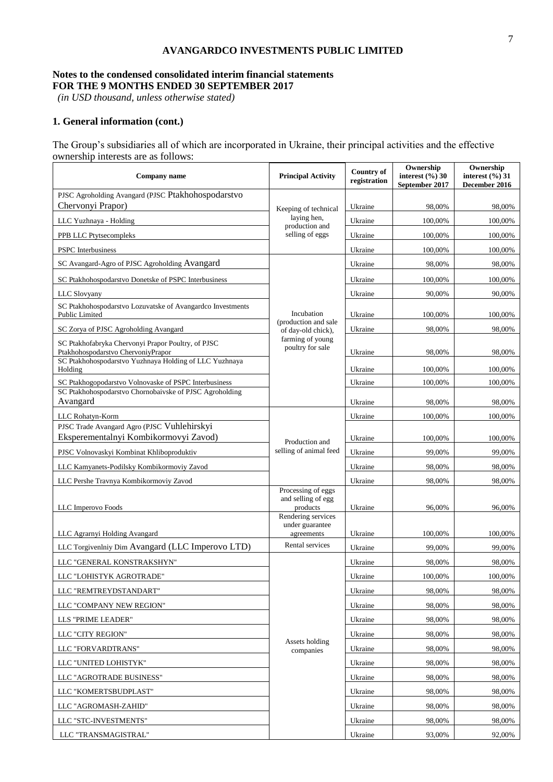## **Notes to the condensed consolidated interim financial statements FOR THE 9 MONTHS ENDED 30 SEPTEMBER 2017**

*(in USD thousand, unless otherwise stated)*

## **1. General information (cont.)**

The Group's subsidiaries all of which are incorporated in Ukraine, their principal activities and the effective ownership interests are as follows:

| Company name                                                                             | <b>Principal Activity</b>                           | <b>Country of</b><br>registration | Ownership<br>interest $(\%$ ) 30<br>September 2017 | Ownership<br>interest $(\%$ ) 31<br>December 2016 |
|------------------------------------------------------------------------------------------|-----------------------------------------------------|-----------------------------------|----------------------------------------------------|---------------------------------------------------|
| PJSC Agroholding Avangard (PJSC Ptakhohospodarstvo<br>Chervonyi Prapor)                  | Keeping of technical                                | Ukraine                           | 98,00%                                             | 98,00%                                            |
| LLC Yuzhnaya - Holding                                                                   | laying hen,                                         | Ukraine                           | 100,00%                                            | 100,00%                                           |
| PPB LLC Ptytsecompleks                                                                   | production and<br>selling of eggs                   | Ukraine                           | 100,00%                                            | 100,00%                                           |
| <b>PSPC</b> Interbusiness                                                                |                                                     | Ukraine                           | 100,00%                                            | 100,00%                                           |
| SC Avangard-Agro of PJSC Agroholding Avangard                                            |                                                     | Ukraine                           | 98,00%                                             | 98,00%                                            |
| SC Ptakhohospodarstvo Donetske of PSPC Interbusiness                                     |                                                     | Ukraine                           | 100,00%                                            | 100,00%                                           |
| LLC Slovyany                                                                             |                                                     | Ukraine                           | 90,00%                                             | 90,00%                                            |
| SC Ptakhohospodarstvo Lozuvatske of Avangardco Investments<br>Public Limited             | Incubation                                          | Ukraine                           | 100,00%                                            | 100,00%                                           |
| SC Zorya of PJSC Agroholding Avangard                                                    | (production and sale<br>of day-old chick),          | Ukraine                           | 98,00%                                             | 98,00%                                            |
| SC Ptakhofabryka Chervonyi Prapor Poultry, of PJSC<br>Ptakhohospodarstvo ChervoniyPrapor | farming of young<br>poultry for sale                | Ukraine                           | 98,00%                                             | 98,00%                                            |
| SC Ptakhohospodarstvo Yuzhnaya Holding of LLC Yuzhnaya<br>Holding                        |                                                     | Ukraine                           | 100,00%                                            | 100,00%                                           |
| SC Ptakhogopodarstvo Volnovaske of PSPC Interbusiness                                    |                                                     | Ukraine                           | 100,00%                                            | 100,00%                                           |
| SC Ptakhohospodarstvo Chornobaivske of PJSC Agroholding<br>Avangard                      |                                                     | Ukraine                           | 98,00%                                             | 98,00%                                            |
| LLC Rohatyn-Korm                                                                         |                                                     | Ukraine                           | 100,00%                                            | 100,00%                                           |
| PJSC Trade Avangard Agro (PJSC Vuhlehirskyi                                              |                                                     |                                   |                                                    |                                                   |
| Eksperementalnyi Kombikormovyi Zavod)                                                    | Production and                                      | Ukraine                           | 100,00%                                            | 100,00%                                           |
| PJSC Volnovaskyi Kombinat Khliboproduktiv                                                | selling of animal feed                              | Ukraine                           | 99,00%                                             | 99,00%                                            |
| LLC Kamyanets-Podilsky Kombikormoviy Zavod                                               |                                                     | Ukraine                           | 98,00%                                             | 98,00%                                            |
| LLC Pershe Travnya Kombikormoviy Zavod                                                   | Processing of eggs                                  | Ukraine                           | 98,00%                                             | 98,00%                                            |
| LLC Imperovo Foods                                                                       | and selling of egg<br>products                      | Ukraine                           | 96,00%                                             | 96,00%                                            |
| LLC Agramyi Holding Avangard                                                             | Rendering services<br>under guarantee<br>agreements | Ukraine                           | 100,00%                                            | 100,00%                                           |
| LLC TorgivenIniy Dim Avangard (LLC Imperovo LTD)                                         | Rental services                                     | Ukraine                           | 99,00%                                             | 99,00%                                            |
| LLC "GENERAL KONSTRAKSHYN"                                                               |                                                     | Ukraine                           | 98,00%                                             | 98,00%                                            |
| LLC "LOHISTYK AGROTRADE"                                                                 |                                                     | Ukraine                           | 100,00%                                            | 100,00%                                           |
| LLC "REMTREYDSTANDART"                                                                   |                                                     | Ukraine                           | 98,00%                                             | 98,00%                                            |
| LLC "COMPANY NEW REGION"                                                                 |                                                     | Ukraine                           | 98,00%                                             | 98,00%                                            |
| LLS "PRIME LEADER"                                                                       |                                                     | Ukraine                           | 98,00%                                             | 98,00%                                            |
| LLC "CITY REGION"                                                                        |                                                     | Ukraine                           | 98,00%                                             | 98,00%                                            |
| LLC "FORVARDTRANS"                                                                       | Assets holding<br>companies                         | Ukraine                           | 98,00%                                             | 98,00%                                            |
| LLC "UNITED LOHISTYK"                                                                    |                                                     | Ukraine                           | 98,00%                                             | 98,00%                                            |
| LLC "AGROTRADE BUSINESS"                                                                 |                                                     | Ukraine                           | 98,00%                                             | 98,00%                                            |
| LLC "KOMERTSBUDPLAST"                                                                    |                                                     | Ukraine                           | 98,00%                                             | 98,00%                                            |
| LLC "AGROMASH-ZAHID"                                                                     |                                                     | Ukraine                           | 98,00%                                             | 98,00%                                            |
| LLC "STC-INVESTMENTS"                                                                    |                                                     | Ukraine                           | 98,00%                                             | 98,00%                                            |
| LLC "TRANSMAGISTRAL"                                                                     |                                                     | Ukraine                           | 93,00%                                             | 92,00%                                            |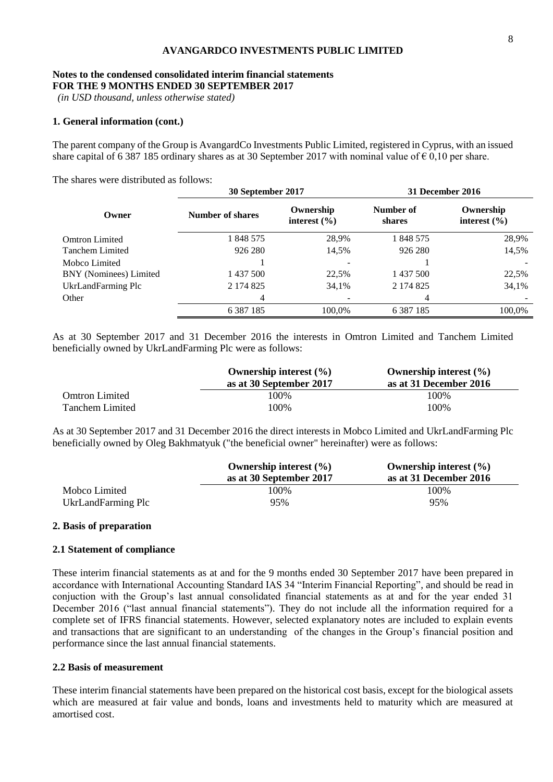#### **Notes to the condensed consolidated interim financial statements FOR THE 9 MONTHS ENDED 30 SEPTEMBER 2017**

*(in USD thousand, unless otherwise stated)*

#### **1. General information (cont.)**

The parent company of the Group is AvangardCo Investments Public Limited, registered in Cyprus, with an issued share capital of 6 387 185 ordinary shares as at 30 September 2017 with nominal value of  $\epsilon$  0,10 per share.

The shares were distributed as follows:

|                        | 30 September 2017       |                               | 31 December 2016    |                               |  |
|------------------------|-------------------------|-------------------------------|---------------------|-------------------------------|--|
| Owner                  | <b>Number of shares</b> | Ownership<br>interest $(\% )$ | Number of<br>shares | Ownership<br>interest $(\% )$ |  |
| <b>Omtron Limited</b>  | 1848575                 | 28,9%                         | 1848575             | 28,9%                         |  |
| <b>Tanchem Limited</b> | 926 280                 | 14,5%                         | 926 280             | 14,5%                         |  |
| Mobco Limited          |                         |                               |                     |                               |  |
| BNY (Nominees) Limited | 1 437 500               | 22,5%                         | 1 437 500           | 22,5%                         |  |
| UkrLandFarming Plc     | 2 174 825               | 34,1%                         | 2 174 825           | 34,1%                         |  |
| Other                  | 4                       |                               | 4                   |                               |  |
|                        | 6 3 8 7 1 8 5           | 100.0%                        | 6 3 8 7 1 8 5       | 100.0%                        |  |

As at 30 September 2017 and 31 December 2016 the interests in Omtron Limited and Tanchem Limited beneficially owned by UkrLandFarming Plc were as follows:

|                       | Ownership interest $(\% )$<br>as at 30 September 2017 | Ownership interest $(\% )$<br>as at 31 December 2016 |
|-----------------------|-------------------------------------------------------|------------------------------------------------------|
|                       |                                                       |                                                      |
| <b>Omtron Limited</b> | 100%                                                  | 100\%                                                |
| Tanchem Limited       | 100%                                                  | 100%                                                 |

As at 30 September 2017 and 31 December 2016 the direct interests in Mobco Limited and UkrLandFarming Plc beneficially owned by Oleg Bakhmatyuk ("the beneficial owner" hereinafter) were as follows:

|                    | Ownership interest $(\% )$<br>as at 30 September 2017 | Ownership interest $(\% )$<br>as at 31 December 2016 |  |  |
|--------------------|-------------------------------------------------------|------------------------------------------------------|--|--|
| Mobco Limited      | 100%                                                  | 100%                                                 |  |  |
| UkrLandFarming Plc | 95%                                                   | 95%                                                  |  |  |

#### **2. Basis of preparation**

#### **2.1 Statement of compliance**

These interim financial statements as at and for the 9 months ended 30 September 2017 have been prepared in accordance with International Accounting Standard IAS 34 "Interim Financial Reporting", and should be read in conjuction with the Group's last annual consolidated financial statements as at and for the year ended 31 December 2016 ("last annual financial statements"). They do not include all the information required for a complete set of IFRS financial statements. However, selected explanatory notes are included to explain events and transactions that are significant to an understanding of the changes in the Group's financial position and performance since the last annual financial statements.

#### **2.2 Basis of measurement**

These interim financial statements have been prepared on the historical cost basis, except for the biological assets which are measured at fair value and bonds, loans and investments held to maturity which are measured at amortised cost.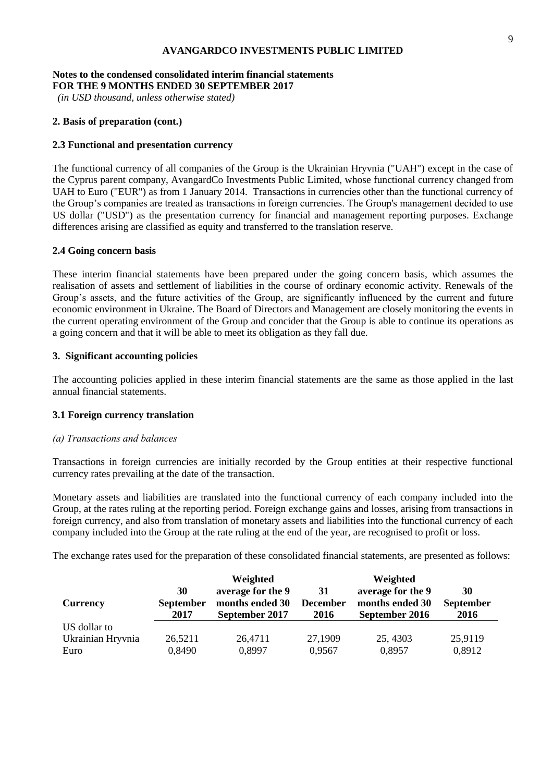#### **Notes to the condensed consolidated interim financial statements FOR THE 9 MONTHS ENDED 30 SEPTEMBER 2017**

*(in USD thousand, unless otherwise stated)*

### **2. Basis of preparation (cont.)**

#### **2.3 Functional and presentation currency**

The functional currency of all companies of the Group is the Ukrainian Hryvnia ("UAH") except in the case of the Cyprus parent company, AvangardCo Investments Public Limited, whose functional currency changed from UAH to Euro ("EUR") as from 1 January 2014. Transactions in currencies other than the functional currency of the Group's companies are treated as transactions in foreign currencies. The Group's management decided to use US dollar ("USD") as the presentation currency for financial and management reporting purposes. Exchange differences arising are classified as equity and transferred to the translation reserve.

#### **2.4 Going concern basis**

These interim financial statements have been prepared under the going concern basis, which assumes the realisation of assets and settlement of liabilities in the course of ordinary economic activity. Renewals of the Group's assets, and the future activities of the Group, are significantly influenced by the current and future economic environment in Ukraine. The Board of Directors and Management are closely monitoring the events in the current operating environment of the Group and concider that the Group is able to continue its operations as a going concern and that it will be able to meet its obligation as they fall due.

### **3. Significant accounting policies**

The accounting policies applied in these interim financial statements are the same as those applied in the last annual financial statements.

## **3.1 Foreign currency translation**

#### *(а) Transactions and balances*

Transactions in foreign currencies are initially recorded by the Group entities at their respective functional currency rates prevailing at the date of the transaction.

Monetary assets and liabilities are translated into the functional currency of each company included into the Group, at the rates ruling at the reporting period. Foreign exchange gains and losses, arising from transactions in foreign currency, and also from translation of monetary assets and liabilities into the functional currency of each company included into the Group at the rate ruling at the end of the year, are recognised to profit or loss.

The exchange rates used for the preparation of these consolidated financial statements, are presented as follows:

| <b>Currency</b>   | 30<br><b>September</b><br>2017 | Weighted<br>average for the 9<br>months ended 30<br>September 2017 | 31<br><b>December</b><br>2016 | Weighted<br>average for the 9<br>months ended 30<br>September 2016 | 30<br><b>September</b><br>2016 |
|-------------------|--------------------------------|--------------------------------------------------------------------|-------------------------------|--------------------------------------------------------------------|--------------------------------|
| US dollar to      |                                |                                                                    |                               |                                                                    |                                |
| Ukrainian Hryvnia | 26,5211                        | 26,4711                                                            | 27,1909                       | 25, 4303                                                           | 25,9119                        |
| Euro              | 0,8490                         | 0,8997                                                             | 0,9567                        | 0,8957                                                             | 0,8912                         |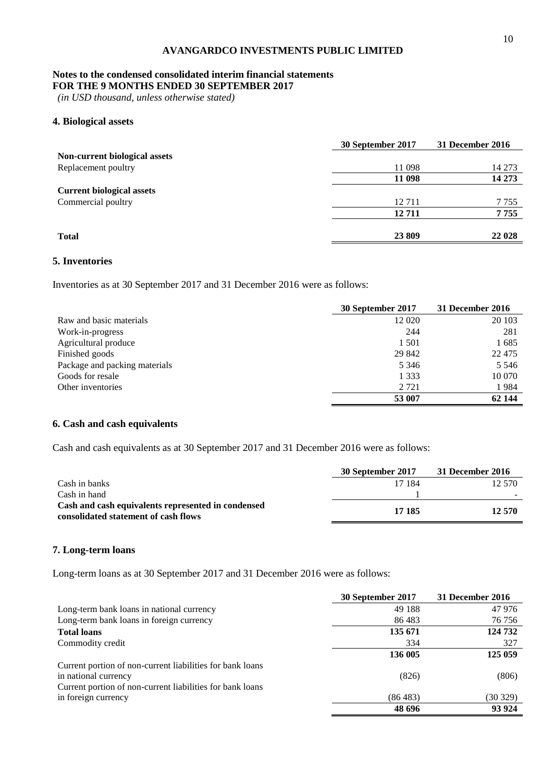#### **Notes to the condensed consolidated interim financial statements FOR THE 9 MONTHS ENDED 30 SEPTEMBER 2017**

*(in USD thousand, unless otherwise stated)*

## **4. Biological assets**

|                                  | 30 September 2017 | 31 December 2016 |
|----------------------------------|-------------------|------------------|
| Non-current biological assets    |                   |                  |
| Replacement poultry              | 11 098            | 14 273           |
|                                  | 11 098            | 14 273           |
| <b>Current biological assets</b> |                   |                  |
| Commercial poultry               | 12 7 11           | 7 7 5 5          |
|                                  | 12711             | 7 7 5 5          |
| <b>Total</b>                     | 23 809            | 22 0 28          |

## **5. Inventories**

Inventories as at 30 September 2017 and 31 December 2016 were as follows:

|                               | 30 September 2017 | 31 December 2016 |
|-------------------------------|-------------------|------------------|
| Raw and basic materials       | 12 020            | 20 10 3          |
| Work-in-progress              | 244               | 281              |
| Agricultural produce          | 1 5 0 1           | 1685             |
| Finished goods                | 29 842            | 22 4 7 5         |
| Package and packing materials | 5 3 4 6           | 5 5 4 6          |
| Goods for resale              | 1 3 3 3           | 10 070           |
| Other inventories             | 2 7 2 1           | 1984             |
|                               | 53 007            | 62 144           |

## **6. Cash and cash equivalents**

Cash and cash equivalents as at 30 September 2017 and 31 December 2016 were as follows:

|                                                                                            | 30 September 2017 | 31 December 2016 |
|--------------------------------------------------------------------------------------------|-------------------|------------------|
| Cash in banks                                                                              | 17 184            | 12.570           |
| Cash in hand                                                                               |                   |                  |
| Cash and cash equivalents represented in condensed<br>consolidated statement of cash flows | 17 185            | 12.570           |

## **7. Long-term loans**

Long-term loans as at 30 September 2017 and 31 December 2016 were as follows:

|                                                           | 30 September 2017 | 31 December 2016 |
|-----------------------------------------------------------|-------------------|------------------|
| Long-term bank loans in national currency                 | 49 188            | 47 976           |
| Long-term bank loans in foreign currency                  | 86483             | 76 756           |
| <b>Total loans</b>                                        | 135 671           | 124 732          |
| Commodity credit                                          | 334               | 327              |
|                                                           | 136 005           | 125 059          |
| Current portion of non-current liabilities for bank loans |                   |                  |
| in national currency                                      | (826)             | (806)            |
| Current portion of non-current liabilities for bank loans |                   |                  |
| in foreign currency                                       | (86483)           | (30 329)         |
|                                                           | 48 696            | 93 924           |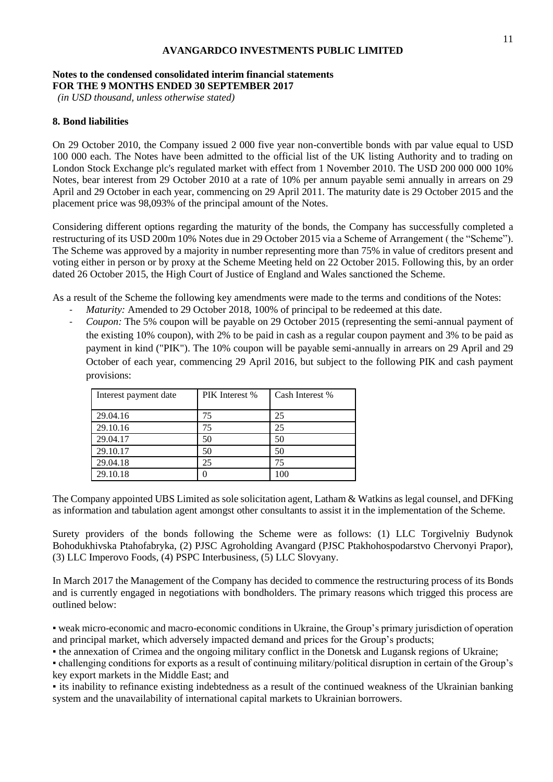## **Notes to the condensed consolidated interim financial statements FOR THE 9 MONTHS ENDED 30 SEPTEMBER 2017**

*(in USD thousand, unless otherwise stated)*

## **8. Bond liabilities**

On 29 October 2010, the Company issued 2 000 five year non-convertible bonds with par value equal to USD 100 000 each. The Notes have been admitted to the official list of the UK listing Authority and to trading on London Stock Exchange plc's regulated market with effect from 1 November 2010. The USD 200 000 000 10% Notes, bear interest from 29 October 2010 at a rate of 10% per annum payable semi annually in arrears on 29 April and 29 October in each year, commencing on 29 April 2011. The maturity date is 29 October 2015 and the placement price was 98,093% of the principal amount of the Notes.

Considering different options regarding the maturity of the bonds, the Company has successfully completed a restructuring of its USD 200m 10% Notes due in 29 October 2015 via a Scheme of Arrangement ( the "Scheme"). The Scheme was approved by a majority in number representing more than 75% in value of creditors present and voting either in person or by proxy at the Scheme Meeting held on 22 October 2015. Following this, by an order dated 26 October 2015, the High Court of Justice of England and Wales sanctioned the Scheme.

As a result of the Scheme the following key amendments were made to the terms and conditions of the Notes:

- *Maturity:* Amended to 29 October 2018, 100% of principal to be redeemed at this date.
- *Coupon:* The 5% coupon will be payable on 29 October 2015 (representing the semi-annual payment of the existing 10% coupon), with 2% to be paid in cash as a regular coupon payment and 3% to be paid as payment in kind ("PIK"). The 10% coupon will be payable semi-annually in arrears on 29 April and 29 October of each year, commencing 29 April 2016, but subject to the following PIK and cash payment provisions:

| Interest payment date | PIK Interest % | Cash Interest % |
|-----------------------|----------------|-----------------|
| 29.04.16              | 75             | 25              |
| 29.10.16              | 75             | 25              |
| 29.04.17              | 50             | 50              |
| 29.10.17              | 50             | 50              |
| 29.04.18              | 25             | 75              |
| 29.10.18              |                | 100             |

The Company appointed UBS Limited as sole solicitation agent, Latham & Watkins as legal counsel, and DFKing as information and tabulation agent amongst other consultants to assist it in the implementation of the Scheme.

Surety providers of the bonds following the Scheme were as follows: (1) LLC Torgivelniy Budynok Bohodukhivska Ptahofabryka, (2) PJSC Agroholding Avangard (PJSC Ptakhohospodarstvo Chervonyi Prapor), (3) LLC Imperovo Foods, (4) PSPC Interbusiness, (5) LLC Slovyany.

In March 2017 the Management of the Company has decided to commence the restructuring process of its Bonds and is currently engaged in negotiations with bondholders. The primary reasons which trigged this process are outlined below:

▪ weak micro-economic and macro-economic conditions in Ukraine, the Group's primary jurisdiction of operation and principal market, which adversely impacted demand and prices for the Group's products;

▪ the annexation of Crimea and the ongoing military conflict in the Donetsk and Lugansk regions of Ukraine;

▪ challenging conditions for exports as a result of continuing military/political disruption in certain of the Group's key export markets in the Middle East; and

▪ its inability to refinance existing indebtedness as a result of the continued weakness of the Ukrainian banking system and the unavailability of international capital markets to Ukrainian borrowers.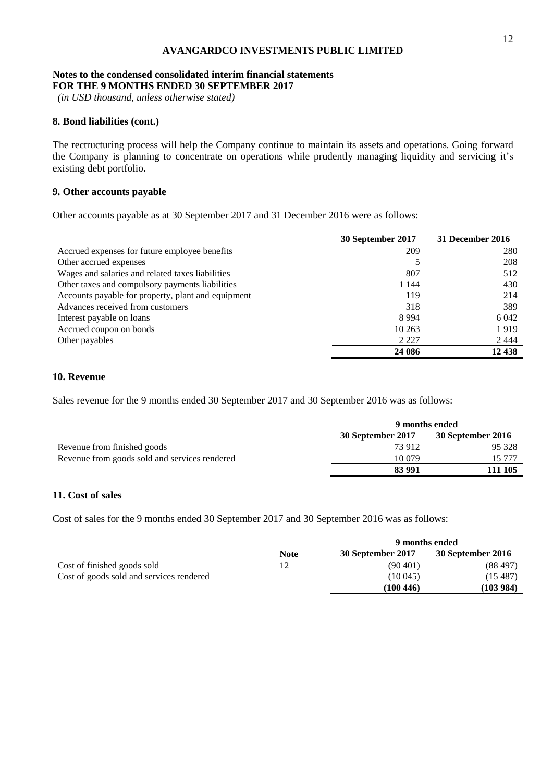#### **Notes to the condensed consolidated interim financial statements FOR THE 9 MONTHS ENDED 30 SEPTEMBER 2017**

*(in USD thousand, unless otherwise stated)*

### **8. Bond liabilities (cont.)**

The rectructuring process will help the Company continue to maintain its assets and operations. Going forward the Company is planning to concentrate on operations while prudently managing liquidity and servicing it's existing debt portfolio.

## **9. Other accounts payable**

Other accounts payable as at 30 September 2017 and 31 December 2016 were as follows:

|                                                    | 30 September 2017 | 31 December 2016 |
|----------------------------------------------------|-------------------|------------------|
| Accrued expenses for future employee benefits      | 209               | 280              |
| Other accrued expenses                             |                   | 208              |
| Wages and salaries and related taxes liabilities   | 807               | 512              |
| Other taxes and compulsory payments liabilities    | 1 1 4 4           | 430              |
| Accounts payable for property, plant and equipment | 119               | 214              |
| Advances received from customers                   | 318               | 389              |
| Interest payable on loans                          | 8994              | 6 0 4 2          |
| Accrued coupon on bonds                            | 10 263            | 1919             |
| Other payables                                     | 2 2 2 7           | 2444             |
|                                                    | 24 086            | 12 438           |

## **10. Revenue**

Sales revenue for the 9 months ended 30 September 2017 and 30 September 2016 was as follows:

|                                               | 9 months ended    |                   |
|-----------------------------------------------|-------------------|-------------------|
|                                               | 30 September 2017 | 30 September 2016 |
| Revenue from finished goods                   | 73 912            | 95 328            |
| Revenue from goods sold and services rendered | 10 079            | 15 777            |
|                                               | 83 991            | 111 105           |

## **11. Cost of sales**

Cost of sales for the 9 months ended 30 September 2017 and 30 September 2016 was as follows:

|                                          |             | 9 months ended    |                   |
|------------------------------------------|-------------|-------------------|-------------------|
|                                          | <b>Note</b> | 30 September 2017 | 30 September 2016 |
| Cost of finished goods sold              | 12          | (90, 401)         | (88497)           |
| Cost of goods sold and services rendered |             | (10 045)          | (15, 487)         |
|                                          |             | (100 446)         | (103 984)         |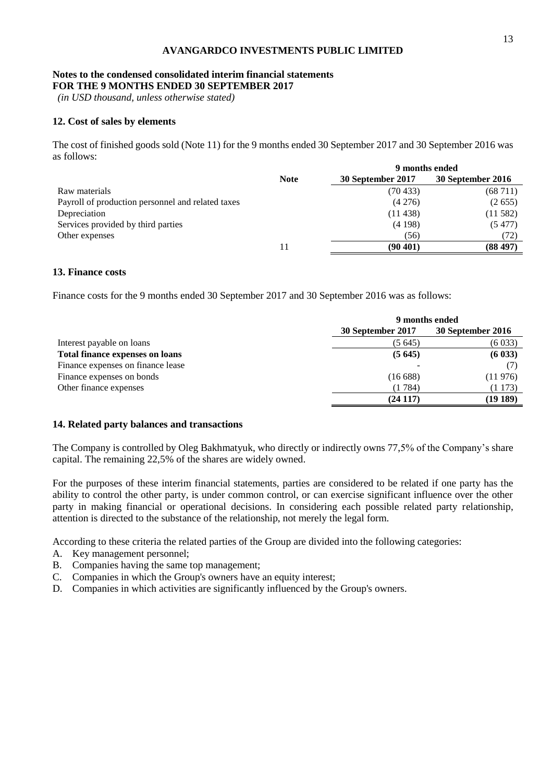#### **Notes to the condensed consolidated interim financial statements FOR THE 9 MONTHS ENDED 30 SEPTEMBER 2017**

*(in USD thousand, unless otherwise stated)*

#### **12. Cost of sales by elements**

The cost of finished goods sold (Note 11) for the 9 months ended 30 September 2017 and 30 September 2016 was as follows: **9 months ended**

|                                                   | 9 montas ended |                   |                   |
|---------------------------------------------------|----------------|-------------------|-------------------|
|                                                   | <b>Note</b>    | 30 September 2017 | 30 September 2016 |
| Raw materials                                     |                | (70433)           | (68711)           |
| Payroll of production personnel and related taxes |                | $(4\,276)$        | (2.655)           |
| Depreciation                                      |                | (11438)           | (11582)           |
| Services provided by third parties                |                | (4198)            | (5.477)           |
| Other expenses                                    |                | (56)              | (72)              |
|                                                   | 11             | (90, 401)         | (88497)           |

## **13. Finance costs**

Finance costs for the 9 months ended 30 September 2017 and 30 September 2016 was as follows:

|                                        | 9 months ended    |                   |
|----------------------------------------|-------------------|-------------------|
|                                        | 30 September 2017 | 30 September 2016 |
| Interest payable on loans              | (5 645)           | (6033)            |
| <b>Total finance expenses on loans</b> | (5645)            | (6033)            |
| Finance expenses on finance lease      |                   |                   |
| Finance expenses on bonds              | (16688)           | (11976)           |
| Other finance expenses                 | (1 784)           | (1 173)           |
|                                        | (24117)           | (19189)           |

## **14. Related party balances and transactions**

The Company is controlled by Oleg Bakhmatyuk, who directly or indirectly owns 77,5% of the Company's share capital. The remaining 22,5% of the shares are widely owned.

For the purposes of these interim financial statements, parties are considered to be related if one party has the ability to control the other party, is under common control, or can exercise significant influence over the other party in making financial or operational decisions. In considering each possible related party relationship, attention is directed to the substance of the relationship, not merely the legal form.

According to these criteria the related parties of the Group are divided into the following categories:

- A. Key management personnel;
- B. Companies having the same top management;
- C. Companies in which the Group's owners have an equity interest;
- D. Companies in which activities are significantly influenced by the Group's owners.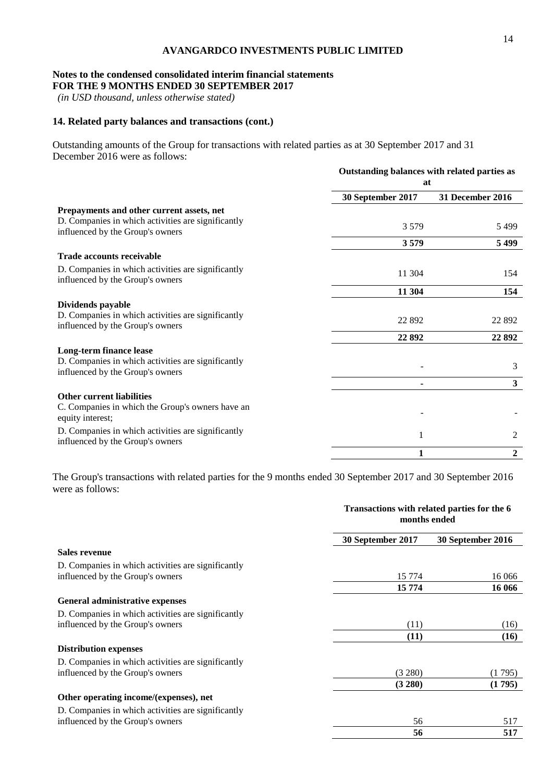#### **Notes to the condensed consolidated interim financial statements FOR THE 9 MONTHS ENDED 30 SEPTEMBER 2017**

*(in USD thousand, unless otherwise stated)*

## **14. Related party balances and transactions (cont.)**

Outstanding amounts of the Group for transactions with related parties as at 30 September 2017 and 31 December 2016 were as follows:

|                                                                                        | Outstanding balances with related parties as<br>at |                         |
|----------------------------------------------------------------------------------------|----------------------------------------------------|-------------------------|
|                                                                                        | 30 September 2017                                  | <b>31 December 2016</b> |
| Prepayments and other current assets, net                                              |                                                    |                         |
| D. Companies in which activities are significantly<br>influenced by the Group's owners | 3 5 7 9                                            | 5499                    |
|                                                                                        | 3579                                               | 5 4 9 9                 |
| <b>Trade accounts receivable</b>                                                       |                                                    |                         |
| D. Companies in which activities are significantly<br>influenced by the Group's owners | 11 304                                             | 154                     |
|                                                                                        | 11 304                                             | 154                     |
| Dividends payable                                                                      |                                                    |                         |
| D. Companies in which activities are significantly<br>influenced by the Group's owners | 22 892                                             | 22 892                  |
|                                                                                        | 22892                                              | 22 892                  |
| Long-term finance lease                                                                |                                                    |                         |
| D. Companies in which activities are significantly<br>influenced by the Group's owners |                                                    | 3                       |
|                                                                                        |                                                    | 3                       |
| <b>Other current liabilities</b>                                                       |                                                    |                         |
| C. Companies in which the Group's owners have an<br>equity interest;                   |                                                    |                         |
| D. Companies in which activities are significantly<br>influenced by the Group's owners | 1                                                  | 2                       |
|                                                                                        | 1                                                  | $\boldsymbol{2}$        |

The Group's transactions with related parties for the 9 months ended 30 September 2017 and 30 September 2016 were as follows:

|                                                    | Transactions with related parties for the 6<br>months ended |                   |
|----------------------------------------------------|-------------------------------------------------------------|-------------------|
|                                                    | 30 September 2017                                           | 30 September 2016 |
| <b>Sales revenue</b>                               |                                                             |                   |
| D. Companies in which activities are significantly |                                                             |                   |
| influenced by the Group's owners                   | 15 774                                                      | 16 066            |
|                                                    | 15 7 7 4                                                    | 16 066            |
| <b>General administrative expenses</b>             |                                                             |                   |
| D. Companies in which activities are significantly |                                                             |                   |
| influenced by the Group's owners                   | (11)                                                        | (16)              |
|                                                    | (11)                                                        | (16)              |
| <b>Distribution expenses</b>                       |                                                             |                   |
| D. Companies in which activities are significantly |                                                             |                   |
| influenced by the Group's owners                   | (3 280)                                                     | (1795)            |
|                                                    | (3 280)                                                     | (1795)            |
| Other operating income/(expenses), net             |                                                             |                   |
| D. Companies in which activities are significantly |                                                             |                   |
| influenced by the Group's owners                   | 56                                                          | 517               |
|                                                    | 56                                                          | 517               |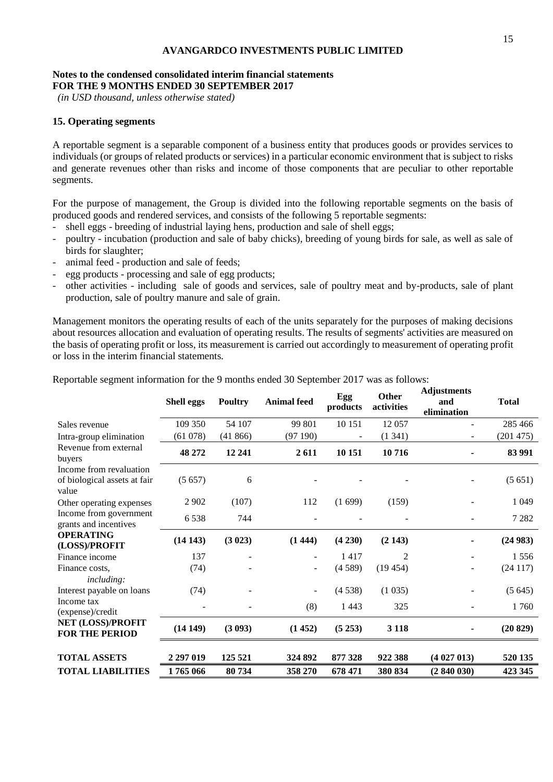#### **Notes to the condensed consolidated interim financial statements FOR THE 9 MONTHS ENDED 30 SEPTEMBER 2017**

*(in USD thousand, unless otherwise stated)*

### **15. Operating segments**

A reportable segment is a separable component of a business entity that produces goods or provides services to individuals (or groups of related products or services) in a particular economic environment that is subject to risks and generate revenues other than risks and income of those components that are peculiar to other reportable segments.

For the purpose of management, the Group is divided into the following reportable segments on the basis of produced goods and rendered services, and consists of the following 5 reportable segments:

- shell eggs breeding of industrial laying hens, production and sale of shell eggs;
- poultry incubation (production and sale of baby chicks), breeding of young birds for sale, as well as sale of birds for slaughter;
- animal feed production and sale of feeds;
- egg products processing and sale of egg products;
- other activities including sale of goods and services, sale of poultry meat and by-products, sale of plant production, sale of poultry manure and sale of grain.

Management monitors the operating results of each of the units separately for the purposes of making decisions about resources allocation and evaluation of operating results. The results of segments' activities are measured on the basis of operating profit or loss, its measurement is carried out accordingly to measurement of operating profit or loss in the interim financial statements.

|                                                                  | <b>Shell eggs</b> | <b>Poultry</b> | <b>Animal</b> feed       | Egg<br>products | Other<br>activities | ragustments<br>and<br>elimination | <b>Total</b> |
|------------------------------------------------------------------|-------------------|----------------|--------------------------|-----------------|---------------------|-----------------------------------|--------------|
| Sales revenue                                                    | 109 350           | 54 107         | 99 801                   | 10 151          | 12 0 57             |                                   | 285 466      |
| Intra-group elimination                                          | (61078)           | (41866)        | (97190)                  |                 | (1341)              | $\overline{\phantom{0}}$          | (201 475)    |
| Revenue from external<br>buyers                                  | 48 272            | 12 24 1        | 2611                     | 10 151          | 10716               |                                   | 83 991       |
| Income from revaluation<br>of biological assets at fair<br>value | (5657)            | 6              |                          |                 |                     |                                   | (5651)       |
| Other operating expenses                                         | 2 9 0 2           | (107)          | 112                      | (1699)          | (159)               |                                   | 1 0 4 9      |
| Income from government<br>grants and incentives                  | 6538              | 744            |                          |                 |                     |                                   | 7 2 8 2      |
| <b>OPERATING</b><br>(LOSS)/PROFIT                                | (14143)           | (3023)         | (1444)                   | (4 230)         | (2143)              | -                                 | (24983)      |
| Finance income                                                   | 137               |                | ٠                        | 1417            | 2                   | ۰                                 | 1556         |
| Finance costs.<br><i>including:</i>                              | (74)              |                | $\overline{\phantom{a}}$ | (4589)          | (19454)             |                                   | (24117)      |
| Interest payable on loans                                        | (74)              |                | $\overline{\phantom{a}}$ | (4538)          | (1035)              |                                   | (5645)       |
| Income tax<br>(expense)/credit                                   |                   |                | (8)                      | 1 4 4 3         | 325                 |                                   | 1760         |
| NET (LOSS)/PROFIT<br><b>FOR THE PERIOD</b>                       | (14149)           | (3093)         | (1452)                   | (5 253)         | 3 1 1 8             |                                   | (20829)      |
| <b>TOTAL ASSETS</b>                                              | 2 297 019         | 125 521        | 324 892                  | 877 328         | 922 388             | (4027013)                         | 520 135      |
| <b>TOTAL LIABILITIES</b>                                         | 1765 066          | 80734          | 358 270                  | 678 471         | 380 834             | (2840030)                         | 423 345      |

Reportable segment information for the 9 months ended 30 September 2017 was as follows:

**Adjustments**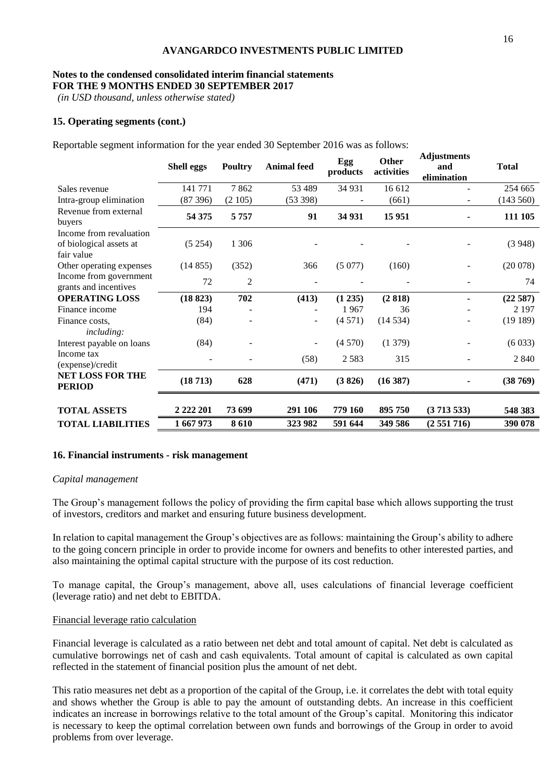#### **Notes to the condensed consolidated interim financial statements FOR THE 9 MONTHS ENDED 30 SEPTEMBER 2017**

*(in USD thousand, unless otherwise stated)*

## **15. Operating segments (cont.)**

Reportable segment information for the year ended 30 September 2016 was as follows:

|                                                                  | <b>Shell eggs</b> | <b>Poultry</b> | <b>Animal</b> feed       | Egg<br>products | Other<br>activities | <b>Adjustments</b><br>and<br>elimination | <b>Total</b> |
|------------------------------------------------------------------|-------------------|----------------|--------------------------|-----------------|---------------------|------------------------------------------|--------------|
| Sales revenue                                                    | 141 771           | 7862           | 53 489                   | 34 931          | 16 612              |                                          | 254 665      |
| Intra-group elimination                                          | (87396)           | (2105)         | (53 398)                 |                 | (661)               |                                          | (143 560)    |
| Revenue from external<br>buyers                                  | 54 375            | 5 7 5 7        | 91                       | 34 931          | 15 951              |                                          | 111 105      |
| Income from revaluation<br>of biological assets at<br>fair value | (5254)            | 1 3 0 6        |                          |                 |                     |                                          | (3948)       |
| Other operating expenses                                         | (14855)           | (352)          | 366                      | (5077)          | (160)               |                                          | (20078)      |
| Income from government<br>grants and incentives                  | 72                | 2              |                          |                 |                     |                                          | 74           |
| <b>OPERATING LOSS</b>                                            | (18823)           | 702            | (413)                    | (1235)          | (2818)              | ۰                                        | (22587)      |
| Finance income                                                   | 194               |                | $\overline{\phantom{0}}$ | 1967            | 36                  |                                          | 2 1 9 7      |
| Finance costs,                                                   | (84)              |                | $\overline{\phantom{a}}$ | (4571)          | (14534)             |                                          | (19189)      |
| <i>including:</i>                                                |                   |                |                          |                 |                     |                                          |              |
| Interest payable on loans<br>Income tax                          | (84)              |                | $\overline{\phantom{a}}$ | (4570)          | (1379)              |                                          | (6033)       |
| (expense)/credit                                                 |                   |                | (58)                     | 2583            | 315                 |                                          | 2 8 4 0      |
| <b>NET LOSS FOR THE</b><br><b>PERIOD</b>                         | (18713)           | 628            | (471)                    | (3826)          | (16 387)            |                                          | (38769)      |
| <b>TOTAL ASSETS</b>                                              | 2 2 2 2 2 0 1     | 73 699         | 291 106                  | 779 160         | 895 750             | (3713533)                                | 548 383      |
| <b>TOTAL LIABILITIES</b>                                         | 1 667 973         | 8610           | 323 982                  | 591 644         | 349 586             | (2551716)                                | 390 078      |

#### **16. Financial instruments - risk management**

#### *Capital management*

The Group's management follows the policy of providing the firm capital base which allows supporting the trust of investors, creditors and market and ensuring future business development.

In relation to capital management the Group's objectives are as follows: maintaining the Group's ability to adhere to the going concern principle in order to provide income for owners and benefits to other interested parties, and also maintaining the optimal capital structure with the purpose of its cost reduction.

To manage capital, the Group's management, above all, uses calculations of financial leverage coefficient (leverage ratio) and net debt to EBITDA.

#### Financial leverage ratio calculation

Financial leverage is calculated as a ratio between net debt and total amount of capital. Net debt is calculated as cumulative borrowings net of cash and cash equivalents. Total amount of capital is calculated as own capital reflected in the statement of financial position plus the amount of net debt.

This ratio measures net debt as a proportion of the capital of the Group, i.e. it correlates the debt with total equity and shows whether the Group is able to pay the amount of outstanding debts. An increase in this coefficient indicates an increase in borrowings relative to the total amount of the Group's capital. Monitoring this indicator is necessary to keep the optimal correlation between own funds and borrowings of the Group in order to avoid problems from over leverage.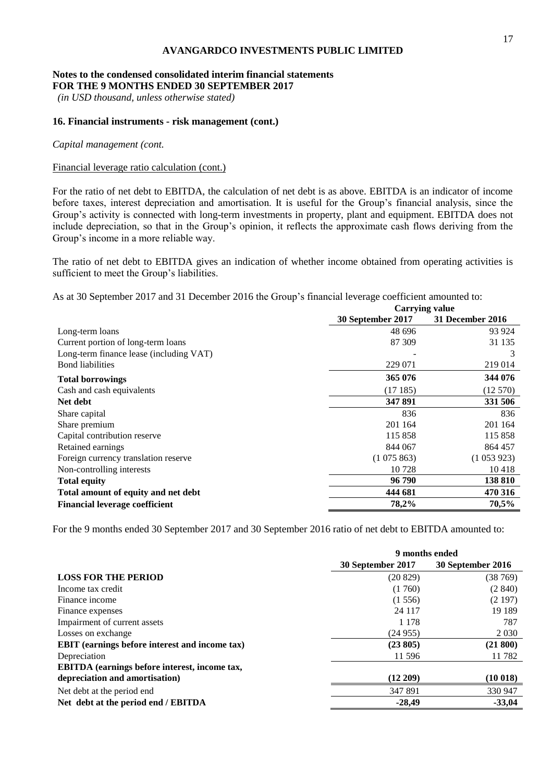#### **Notes to the condensed consolidated interim financial statements FOR THE 9 MONTHS ENDED 30 SEPTEMBER 2017**

*(in USD thousand, unless otherwise stated)*

## **16. Financial instruments - risk management (cont.)**

#### *Capital management (cont.*

## Financial leverage ratio calculation (cont.)

For the ratio of net debt to EBITDA, the calculation of net debt is as above. EBITDA is an indicator of income before taxes, interest depreciation and amortisation. It is useful for the Group's financial analysis, since the Group's activity is connected with long-term investments in property, plant and equipment. EBITDA does not include depreciation, so that in the Group's opinion, it reflects the approximate cash flows deriving from the Group's income in a more reliable way.

The ratio of net debt to EBITDA gives an indication of whether income obtained from operating activities is sufficient to meet the Group's liabilities.

As at 30 September 2017 and 31 December 2016 the Group's financial leverage coefficient amounted to:

|                                         | <b>Carrying value</b> |                  |  |
|-----------------------------------------|-----------------------|------------------|--|
|                                         | 30 September 2017     | 31 December 2016 |  |
| Long-term loans                         | 48 696                | 93 924           |  |
| Current portion of long-term loans      | 87 309                | 31 1 35          |  |
| Long-term finance lease (including VAT) |                       | 3                |  |
| <b>Bond liabilities</b>                 | 229 071               | 219 014          |  |
| <b>Total borrowings</b>                 | 365 076               | 344 076          |  |
| Cash and cash equivalents               | (17185)               | (12570)          |  |
| Net debt                                | 347 891               | 331 506          |  |
| Share capital                           | 836                   | 836              |  |
| Share premium                           | 201 164               | 201 164          |  |
| Capital contribution reserve            | 115 858               | 115 858          |  |
| Retained earnings                       | 844 067               | 864 457          |  |
| Foreign currency translation reserve    | (1075863)             | (1053923)        |  |
| Non-controlling interests               | 10 728                | 10418            |  |
| <b>Total equity</b>                     | 96 790                | 138 810          |  |
| Total amount of equity and net debt     | 444 681               | 470 316          |  |
| <b>Financial leverage coefficient</b>   | 78,2%                 | 70,5%            |  |

For the 9 months ended 30 September 2017 and 30 September 2016 ratio of net debt to EBITDA amounted to:

|                                                       | 9 months ended    |                   |  |
|-------------------------------------------------------|-------------------|-------------------|--|
|                                                       | 30 September 2017 | 30 September 2016 |  |
| <b>LOSS FOR THE PERIOD</b>                            | (20829)           | (38769)           |  |
| Income tax credit                                     | (1760)            | (2, 840)          |  |
| Finance income                                        | (1556)            | (2197)            |  |
| Finance expenses                                      | 24 1 1 7          | 19 189            |  |
| Impairment of current assets                          | 1 1 7 8           | 787               |  |
| Losses on exchange                                    | (24955)           | 2 0 3 0           |  |
| <b>EBIT</b> (earnings before interest and income tax) | (23805)           | (21 800)          |  |
| Depreciation                                          | 11 596            | 11 782            |  |
| <b>EBITDA</b> (earnings before interest, income tax,  |                   |                   |  |
| depreciation and amortisation)                        | (12 209)          | (10018)           |  |
| Net debt at the period end                            | 347 891           | 330 947           |  |
| Net debt at the period end / EBITDA                   | $-28,49$          | $-33,04$          |  |